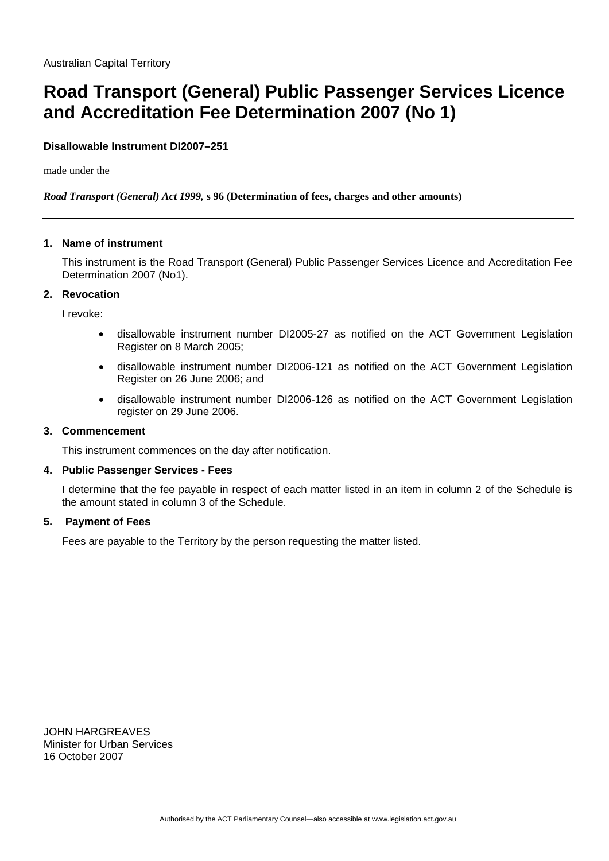# **Road Transport (General) Public Passenger Services Licence and Accreditation Fee Determination 2007 (No 1)**

# **Disallowable Instrument DI2007–251**

made under the

## *Road Transport (General) Act 1999,* **s 96 (Determination of fees, charges and other amounts)**

#### **1. Name of instrument**

This instrument is the Road Transport (General) Public Passenger Services Licence and Accreditation Fee Determination 2007 (No1).

#### **2. Revocation**

I revoke:

- disallowable instrument number DI2005-27 as notified on the ACT Government Legislation Register on 8 March 2005;
- disallowable instrument number DI2006-121 as notified on the ACT Government Legislation Register on 26 June 2006; and
- disallowable instrument number DI2006-126 as notified on the ACT Government Legislation register on 29 June 2006.

# **3. Commencement**

This instrument commences on the day after notification.

## **4. Public Passenger Services - Fees**

I determine that the fee payable in respect of each matter listed in an item in column 2 of the Schedule is the amount stated in column 3 of the Schedule.

## **5. Payment of Fees**

Fees are payable to the Territory by the person requesting the matter listed.

JOHN HARGREAVES Minister for Urban Services 16 October 2007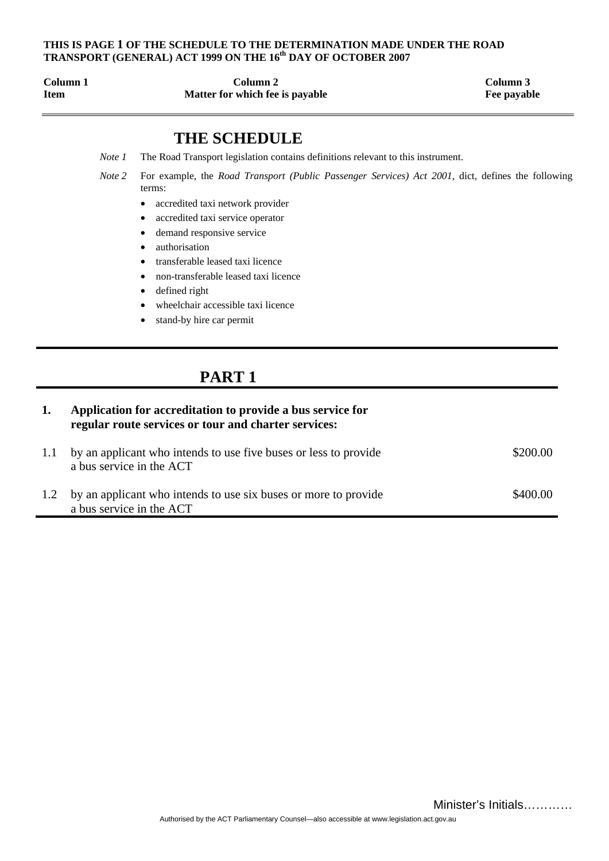# **THIS IS PAGE 1 OF THE SCHEDULE TO THE DETERMINATION MADE UNDER THE ROAD**  TRANSPORT (GENERAL) ACT 1999 ON THE 16<sup>th</sup> DAY OF OCTOBER 2007

| Column 1    | Column 2                        | Column 3  |
|-------------|---------------------------------|-----------|
| <b>Item</b> | Matter for which fee is payable | Fee payab |

**Fee payable** 

# **THE SCHEDULE**

- *Note 1* The Road Transport legislation contains definitions relevant to this instrument.
- *Note 2* For example, the *Road Transport (Public Passenger Services) Act 2001*, dict, defines the following terms:
	- accredited taxi network provider
	- accredited taxi service operator
	- demand responsive service
	- authorisation
	- transferable leased taxi licence
	- non-transferable leased taxi licence
	- defined right
	- wheelchair accessible taxi licence
	- stand-by hire car permit

# **PART 1**

| 1.  | Application for accreditation to provide a bus service for<br>regular route services or tour and charter services: |          |  |  |
|-----|--------------------------------------------------------------------------------------------------------------------|----------|--|--|
|     | by an applicant who intends to use five buses or less to provide<br>a bus service in the ACT                       | \$200.00 |  |  |
| 1.2 | by an applicant who intends to use six buses or more to provide<br>a bus service in the ACT                        | \$400.00 |  |  |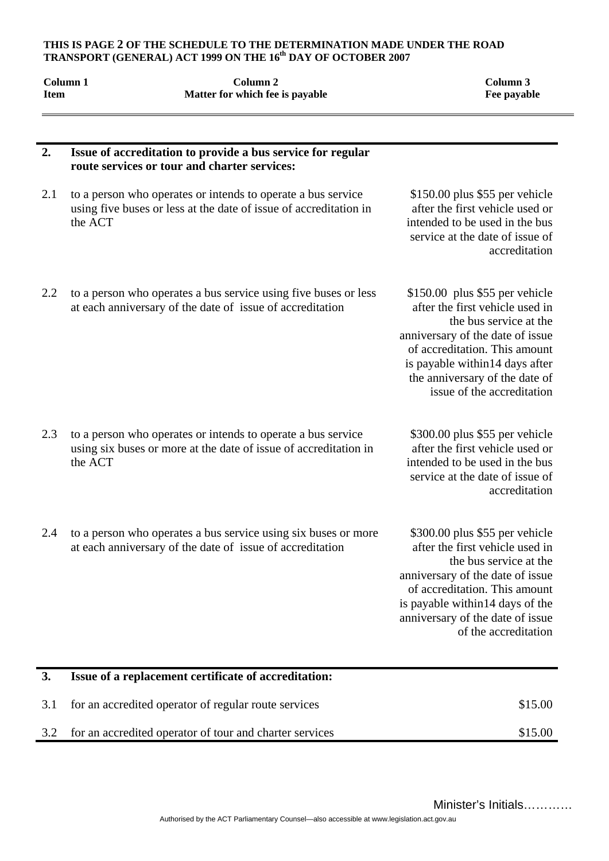#### **THIS IS PAGE 2 OF THE SCHEDULE TO THE DETERMINATION MADE UNDER THE ROAD TRANSPORT (GENERAL) ACT 1999 ON THE 16th DAY OF OCTOBER 2007**

| <b>Item</b> | Column 1 | Column <sub>2</sub><br>Matter for which fee is payable                                                                            | Column 3<br>Fee payable                                                                                                                                                                                                                                            |
|-------------|----------|-----------------------------------------------------------------------------------------------------------------------------------|--------------------------------------------------------------------------------------------------------------------------------------------------------------------------------------------------------------------------------------------------------------------|
| 2.          |          | Issue of accreditation to provide a bus service for regular<br>route services or tour and charter services:                       |                                                                                                                                                                                                                                                                    |
| 2.1         | the ACT  | to a person who operates or intends to operate a bus service<br>using five buses or less at the date of issue of accreditation in | \$150.00 plus \$55 per vehicle<br>after the first vehicle used or<br>intended to be used in the bus<br>service at the date of issue of<br>accreditation                                                                                                            |
| 2.2         |          | to a person who operates a bus service using five buses or less<br>at each anniversary of the date of issue of accreditation      | \$150.00 plus \$55 per vehicle<br>after the first vehicle used in<br>the bus service at the<br>anniversary of the date of issue<br>of accreditation. This amount<br>is payable within14 days after<br>the anniversary of the date of<br>issue of the accreditation |
| 2.3         | the ACT  | to a person who operates or intends to operate a bus service<br>using six buses or more at the date of issue of accreditation in  | \$300.00 plus \$55 per vehicle<br>after the first vehicle used or<br>intended to be used in the bus<br>service at the date of issue of<br>accreditation                                                                                                            |
| 2.4         |          | to a person who operates a bus service using six buses or more<br>at each anniversary of the date of issue of accreditation       | \$300.00 plus \$55 per vehicle<br>after the first vehicle used in<br>the bus service at the<br>anniversary of the date of issue<br>of accreditation. This amount<br>is payable within 14 days of the<br>anniversary of the date of issue<br>of the accreditation   |
| 3.          |          | Issue of a replacement certificate of accreditation:                                                                              |                                                                                                                                                                                                                                                                    |

| 3.1 for an accredited operator of regular route services    | \$15.00 |
|-------------------------------------------------------------|---------|
| 3.2 for an accredited operator of tour and charter services | \$15.00 |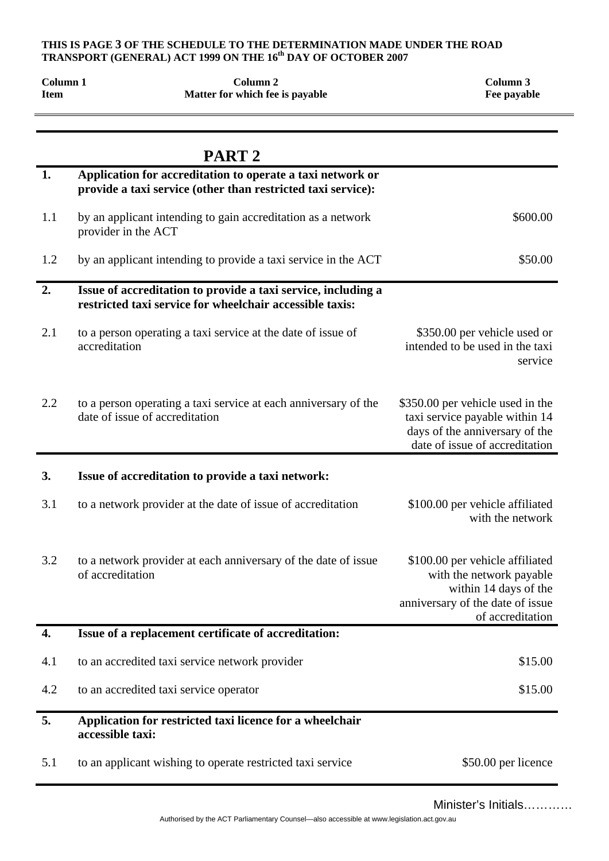#### **THIS IS PAGE 3 OF THE SCHEDULE TO THE DETERMINATION MADE UNDER THE ROAD**  TRANSPORT (GENERAL) ACT 1999 ON THE 16<sup>th</sup> DAY OF OCTOBER 2007

| Column 1<br><b>Item</b> | Column <sub>2</sub><br>Matter for which fee is payable                                                                     | Column 3<br>Fee payable                                                                                                                      |
|-------------------------|----------------------------------------------------------------------------------------------------------------------------|----------------------------------------------------------------------------------------------------------------------------------------------|
|                         | PART <sub>2</sub>                                                                                                          |                                                                                                                                              |
| 1.                      | Application for accreditation to operate a taxi network or<br>provide a taxi service (other than restricted taxi service): |                                                                                                                                              |
| 1.1                     | by an applicant intending to gain accreditation as a network<br>provider in the ACT                                        | \$600.00                                                                                                                                     |
| 1.2                     | by an applicant intending to provide a taxi service in the ACT                                                             | \$50.00                                                                                                                                      |
| 2.                      | Issue of accreditation to provide a taxi service, including a<br>restricted taxi service for wheelchair accessible taxis:  |                                                                                                                                              |
| 2.1                     | to a person operating a taxi service at the date of issue of<br>accreditation                                              | \$350.00 per vehicle used or<br>intended to be used in the taxi<br>service                                                                   |
| 2.2                     | to a person operating a taxi service at each anniversary of the<br>date of issue of accreditation                          | \$350.00 per vehicle used in the<br>taxi service payable within 14<br>days of the anniversary of the<br>date of issue of accreditation       |
| 3.                      | Issue of accreditation to provide a taxi network:                                                                          |                                                                                                                                              |
| 3.1                     | to a network provider at the date of issue of accreditation                                                                | \$100.00 per vehicle affiliated<br>with the network                                                                                          |
| 3.2                     | to a network provider at each anniversary of the date of issue<br>of accreditation                                         | \$100.00 per vehicle affiliated<br>with the network payable<br>within 14 days of the<br>anniversary of the date of issue<br>of accreditation |
| 4.                      | Issue of a replacement certificate of accreditation:                                                                       |                                                                                                                                              |
| 4.1                     | to an accredited taxi service network provider                                                                             | \$15.00                                                                                                                                      |
| 4.2                     | to an accredited taxi service operator                                                                                     | \$15.00                                                                                                                                      |
| 5.                      | Application for restricted taxi licence for a wheelchair<br>accessible taxi:                                               |                                                                                                                                              |
| 5.1                     | to an applicant wishing to operate restricted taxi service                                                                 | \$50.00 per licence                                                                                                                          |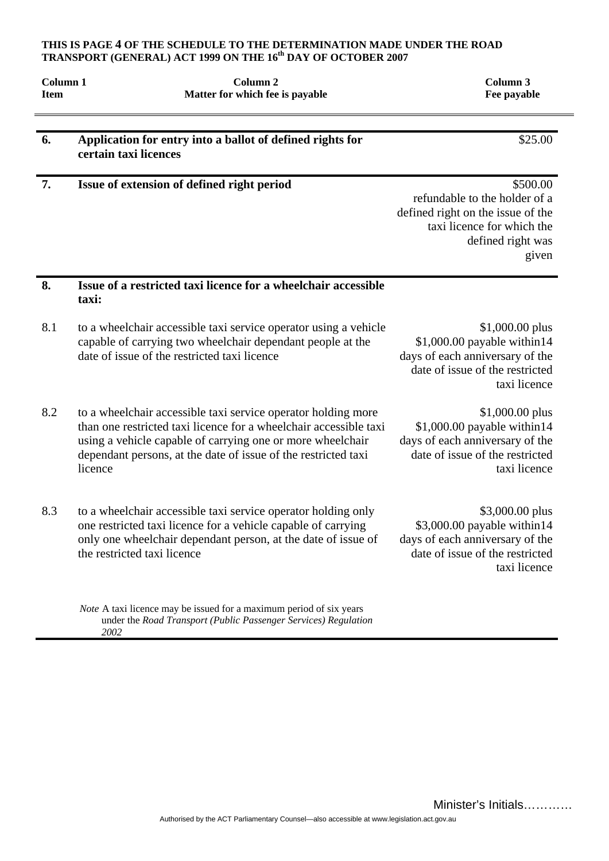#### **THIS IS PAGE 4 OF THE SCHEDULE TO THE DETERMINATION MADE UNDER THE ROAD**  TRANSPORT (GENERAL) ACT 1999 ON THE 16<sup>th</sup> DAY OF OCTOBER 2007

| Column <sub>1</sub><br><b>Item</b> | Column <sub>2</sub><br>Matter for which fee is payable                                                                                                                                                                                                                        | Column 3<br>Fee payable                                                                                                                    |
|------------------------------------|-------------------------------------------------------------------------------------------------------------------------------------------------------------------------------------------------------------------------------------------------------------------------------|--------------------------------------------------------------------------------------------------------------------------------------------|
| 6.                                 | Application for entry into a ballot of defined rights for<br>certain taxi licences                                                                                                                                                                                            | \$25.00                                                                                                                                    |
| 7.                                 | Issue of extension of defined right period                                                                                                                                                                                                                                    | \$500.00<br>refundable to the holder of a<br>defined right on the issue of the<br>taxi licence for which the<br>defined right was<br>given |
| 8.                                 | Issue of a restricted taxi licence for a wheelchair accessible<br>taxi:                                                                                                                                                                                                       |                                                                                                                                            |
| 8.1                                | to a wheelchair accessible taxi service operator using a vehicle<br>capable of carrying two wheelchair dependant people at the<br>date of issue of the restricted taxi licence                                                                                                | \$1,000.00 plus<br>\$1,000.00 payable within14<br>days of each anniversary of the<br>date of issue of the restricted<br>taxi licence       |
| 8.2                                | to a wheelchair accessible taxi service operator holding more<br>than one restricted taxi licence for a wheelchair accessible taxi<br>using a vehicle capable of carrying one or more wheelchair<br>dependant persons, at the date of issue of the restricted taxi<br>licence | \$1,000.00 plus<br>\$1,000.00 payable within14<br>days of each anniversary of the<br>date of issue of the restricted<br>taxi licence       |
| 8.3                                | to a wheelchair accessible taxi service operator holding only<br>one restricted taxi licence for a vehicle capable of carrying<br>only one wheelchair dependant person, at the date of issue of<br>the restricted taxi licence                                                | \$3,000.00 plus<br>\$3,000.00 payable within14<br>days of each anniversary of the<br>date of issue of the restricted<br>taxi licence       |

*Note* A taxi licence may be issued for a maximum period of six years under the *Road Transport (Public Passenger Services) Regulation 2002*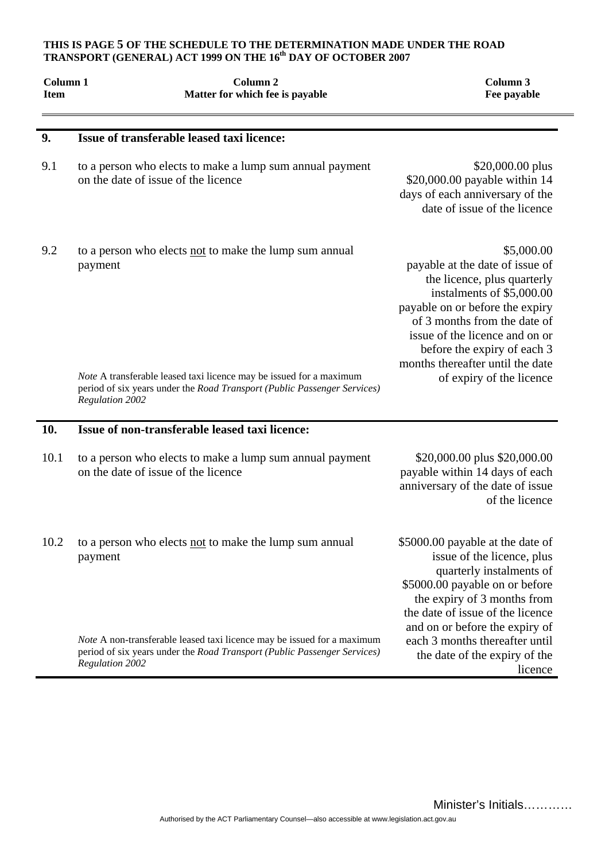#### **THIS IS PAGE 5 OF THE SCHEDULE TO THE DETERMINATION MADE UNDER THE ROAD TRANSPORT (GENERAL) ACT 1999 ON THE 16th DAY OF OCTOBER 2007**

| Column 1<br><b>Item</b> | Column <sub>2</sub><br>Matter for which fee is payable                                                                                                                    | Column <sub>3</sub><br>Fee payable                                                                                                                                                                                                                                                |
|-------------------------|---------------------------------------------------------------------------------------------------------------------------------------------------------------------------|-----------------------------------------------------------------------------------------------------------------------------------------------------------------------------------------------------------------------------------------------------------------------------------|
| 9.                      | Issue of transferable leased taxi licence:                                                                                                                                |                                                                                                                                                                                                                                                                                   |
| 9.1                     | to a person who elects to make a lump sum annual payment<br>on the date of issue of the licence                                                                           | \$20,000.00 plus<br>\$20,000.00 payable within 14<br>days of each anniversary of the<br>date of issue of the licence                                                                                                                                                              |
| 9.2                     | to a person who elects not to make the lump sum annual<br>payment                                                                                                         | \$5,000.00<br>payable at the date of issue of<br>the licence, plus quarterly<br>instalments of \$5,000.00<br>payable on or before the expiry<br>of 3 months from the date of<br>issue of the licence and on or<br>before the expiry of each 3<br>months thereafter until the date |
|                         | Note A transferable leased taxi licence may be issued for a maximum<br>period of six years under the Road Transport (Public Passenger Services)<br><b>Regulation 2002</b> | of expiry of the licence                                                                                                                                                                                                                                                          |
| 10.                     | Issue of non-transferable leased taxi licence:                                                                                                                            |                                                                                                                                                                                                                                                                                   |
| 10.1                    | to a person who elects to make a lump sum annual payment<br>on the date of issue of the licence                                                                           | \$20,000.00 plus \$20,000.00<br>payable within 14 days of each<br>anniversary of the date of issue<br>of the licence                                                                                                                                                              |
| 10.2                    | to a person who elects not to make the lump sum annual<br>payment                                                                                                         | \$5000.00 payable at the date of<br>issue of the licence, plus<br>quarterly instalments of<br>\$5000.00 payable on or before<br>the expiry of 3 months from<br>the date of issue of the licence<br>and on or before the expiry of                                                 |
|                         | Note A non-transferable leased taxi licence may be issued for a maximum<br>period of six years under the Road Transport (Public Passenger Services)<br>Regulation 2002    | each 3 months thereafter until<br>the date of the expiry of the<br>licence                                                                                                                                                                                                        |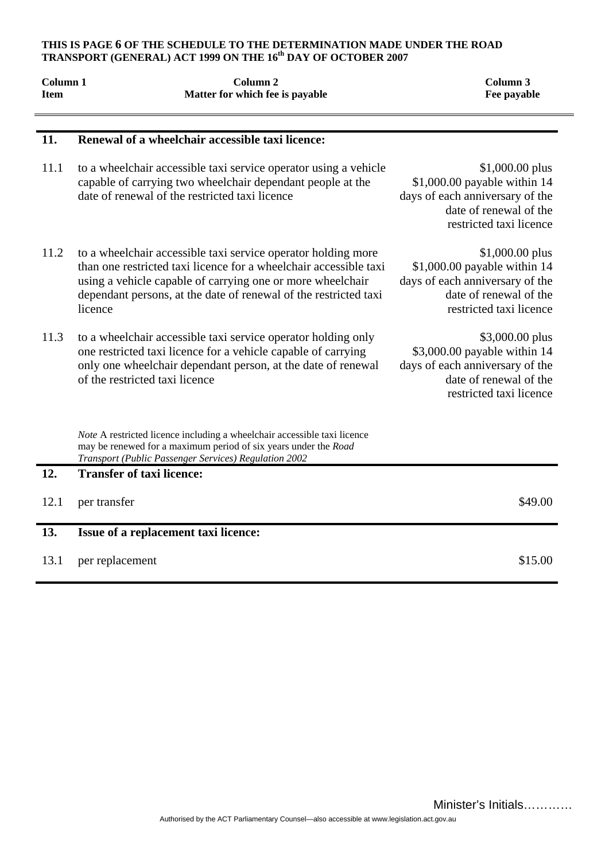#### **THIS IS PAGE 6 OF THE SCHEDULE TO THE DETERMINATION MADE UNDER THE ROAD**  TRANSPORT (GENERAL) ACT 1999 ON THE 16<sup>th</sup> DAY OF OCTOBER 2007

| Column 1<br><b>Item</b> | Column <sub>2</sub><br>Matter for which fee is payable                                                                                                                                                                                                                          | Column 3<br>Fee payable                                                                                                                   |
|-------------------------|---------------------------------------------------------------------------------------------------------------------------------------------------------------------------------------------------------------------------------------------------------------------------------|-------------------------------------------------------------------------------------------------------------------------------------------|
| 11.                     | Renewal of a wheelchair accessible taxi licence:                                                                                                                                                                                                                                |                                                                                                                                           |
| 11.1                    | to a wheelchair accessible taxi service operator using a vehicle<br>capable of carrying two wheelchair dependant people at the<br>date of renewal of the restricted taxi licence                                                                                                | $$1,000.00$ plus<br>$$1,000.00$ payable within 14<br>days of each anniversary of the<br>date of renewal of the<br>restricted taxi licence |
| 11.2                    | to a wheelchair accessible taxi service operator holding more<br>than one restricted taxi licence for a wheelchair accessible taxi<br>using a vehicle capable of carrying one or more wheelchair<br>dependant persons, at the date of renewal of the restricted taxi<br>licence | \$1,000.00 plus<br>$$1,000.00$ payable within 14<br>days of each anniversary of the<br>date of renewal of the<br>restricted taxi licence  |
| 11.3                    | to a wheelchair accessible taxi service operator holding only<br>one restricted taxi licence for a vehicle capable of carrying<br>only one wheelchair dependant person, at the date of renewal<br>of the restricted taxi licence                                                | \$3,000.00 plus<br>\$3,000.00 payable within 14<br>days of each anniversary of the<br>date of renewal of the<br>restricted taxi licence   |
|                         | Note A restricted licence including a wheelchair accessible taxi licence<br>may be renewed for a maximum period of six years under the Road<br>Transport (Public Passenger Services) Regulation 2002                                                                            |                                                                                                                                           |
| 12.                     | <b>Transfer of taxi licence:</b>                                                                                                                                                                                                                                                |                                                                                                                                           |
| 12.1                    | per transfer                                                                                                                                                                                                                                                                    | \$49.00                                                                                                                                   |
| 13.                     | Issue of a replacement taxi licence:                                                                                                                                                                                                                                            |                                                                                                                                           |
| 13.1                    | per replacement                                                                                                                                                                                                                                                                 | \$15.00                                                                                                                                   |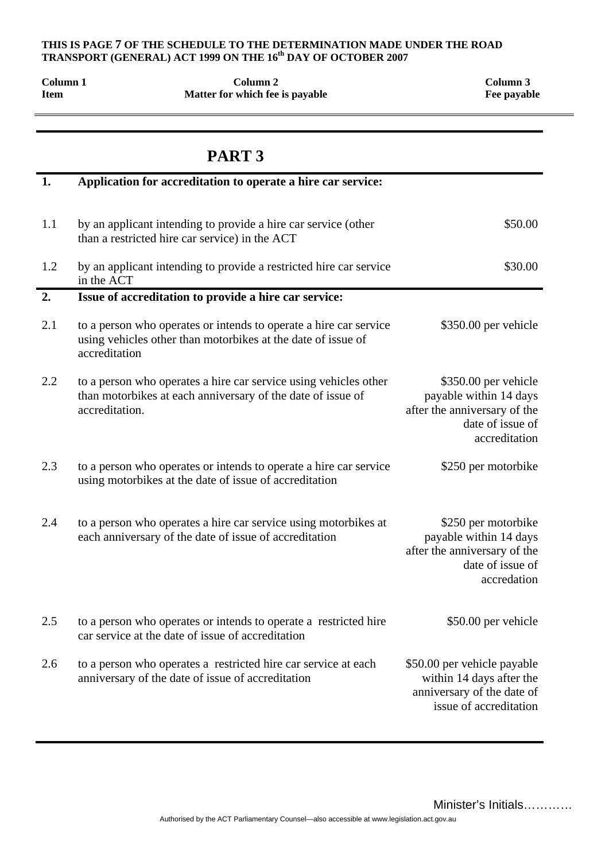## **THIS IS PAGE 7 OF THE SCHEDULE TO THE DETERMINATION MADE UNDER THE ROAD TRANSPORT (GENERAL) ACT 1999 ON THE 16<sup>th</sup> DAY OF OCTOBER 2007**

| Column 1<br><b>Item</b> | Column <sub>2</sub><br>Matter for which fee is payable                                                                                             | Column 3<br>Fee payable                                                                                             |
|-------------------------|----------------------------------------------------------------------------------------------------------------------------------------------------|---------------------------------------------------------------------------------------------------------------------|
|                         | PART <sub>3</sub>                                                                                                                                  |                                                                                                                     |
| 1.                      | Application for accreditation to operate a hire car service:                                                                                       |                                                                                                                     |
| 1.1                     | by an applicant intending to provide a hire car service (other<br>than a restricted hire car service) in the ACT                                   | \$50.00                                                                                                             |
| 1.2                     | by an applicant intending to provide a restricted hire car service<br>in the ACT                                                                   | \$30.00                                                                                                             |
| 2.                      | Issue of accreditation to provide a hire car service:                                                                                              |                                                                                                                     |
| 2.1                     | to a person who operates or intends to operate a hire car service<br>using vehicles other than motorbikes at the date of issue of<br>accreditation | \$350.00 per vehicle                                                                                                |
| 2.2                     | to a person who operates a hire car service using vehicles other<br>than motorbikes at each anniversary of the date of issue of<br>accreditation.  | \$350.00 per vehicle<br>payable within 14 days<br>after the anniversary of the<br>date of issue of<br>accreditation |
| 2.3                     | to a person who operates or intends to operate a hire car service<br>using motorbikes at the date of issue of accreditation                        | \$250 per motorbike                                                                                                 |
| 2.4                     | to a person who operates a hire car service using motorbikes at<br>each anniversary of the date of issue of accreditation                          | \$250 per motorbike<br>payable within 14 days<br>after the anniversary of the<br>date of issue of<br>accredation    |
| 2.5                     | to a person who operates or intends to operate a restricted hire<br>car service at the date of issue of accreditation                              | \$50.00 per vehicle                                                                                                 |
| 2.6                     | to a person who operates a restricted hire car service at each<br>anniversary of the date of issue of accreditation                                | \$50.00 per vehicle payable<br>within 14 days after the<br>anniversary of the date of<br>issue of accreditation     |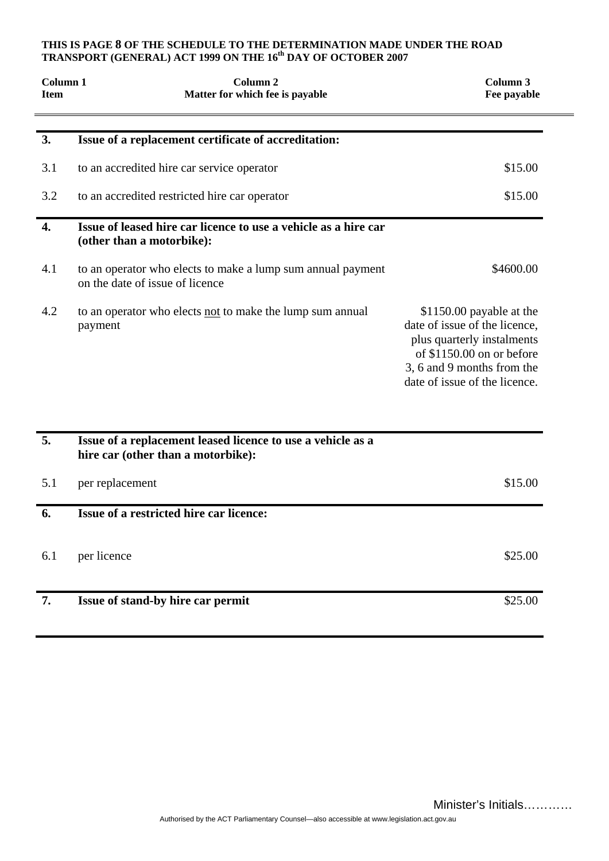#### **THIS IS PAGE 8 OF THE SCHEDULE TO THE DETERMINATION MADE UNDER THE ROAD**  TRANSPORT (GENERAL) ACT 1999 ON THE 16<sup>th</sup> DAY OF OCTOBER 2007

| Column <sub>1</sub><br><b>Item</b> | Column <sub>2</sub><br>Matter for which fee is payable                                            | Column 3<br>Fee payable                                                                                                                                                              |
|------------------------------------|---------------------------------------------------------------------------------------------------|--------------------------------------------------------------------------------------------------------------------------------------------------------------------------------------|
| 3.                                 | Issue of a replacement certificate of accreditation:                                              |                                                                                                                                                                                      |
| 3.1                                | to an accredited hire car service operator                                                        | \$15.00                                                                                                                                                                              |
| 3.2                                | to an accredited restricted hire car operator                                                     | \$15.00                                                                                                                                                                              |
| 4.                                 | Issue of leased hire car licence to use a vehicle as a hire car<br>(other than a motorbike):      |                                                                                                                                                                                      |
| 4.1                                | to an operator who elects to make a lump sum annual payment<br>on the date of issue of licence    | \$4600.00                                                                                                                                                                            |
| 4.2                                | to an operator who elects not to make the lump sum annual<br>payment                              | \$1150.00 payable at the<br>date of issue of the licence,<br>plus quarterly instalments<br>of $$1150.00$ on or before<br>3, 6 and 9 months from the<br>date of issue of the licence. |
| 5.                                 | Issue of a replacement leased licence to use a vehicle as a<br>hire car (other than a motorbike): |                                                                                                                                                                                      |
| 5.1                                | per replacement                                                                                   | \$15.00                                                                                                                                                                              |
| 6.                                 | Issue of a restricted hire car licence:                                                           |                                                                                                                                                                                      |
| 6.1                                | per licence                                                                                       | \$25.00                                                                                                                                                                              |
| 7.                                 | Issue of stand-by hire car permit                                                                 | \$25.00                                                                                                                                                                              |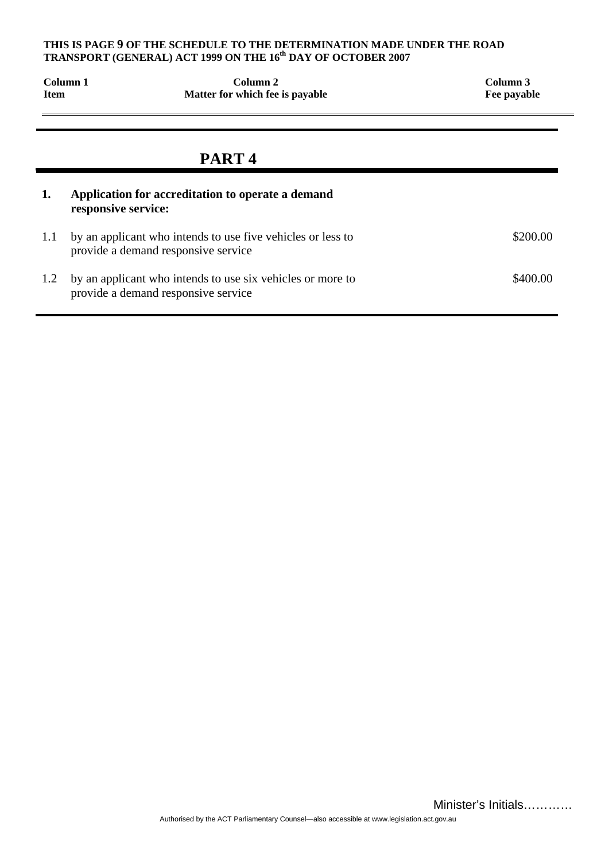#### **THIS IS PAGE 9 OF THE SCHEDULE TO THE DETERMINATION MADE UNDER THE ROAD TRANSPORT (GENERAL) ACT 1999 ON THE 16th DAY OF OCTOBER 2007**

| Column 1<br><b>Item</b> |                     | Column <sub>2</sub><br>Matter for which fee is payable                                             | Column 3<br>Fee payable |
|-------------------------|---------------------|----------------------------------------------------------------------------------------------------|-------------------------|
|                         |                     | PART <sub>4</sub>                                                                                  |                         |
| 1.                      | responsive service: | Application for accreditation to operate a demand                                                  |                         |
| 1.1                     |                     | by an applicant who intends to use five vehicles or less to<br>provide a demand responsive service | \$200.00                |
| 1.2                     |                     | by an applicant who intends to use six vehicles or more to<br>provide a demand responsive service  | \$400.00                |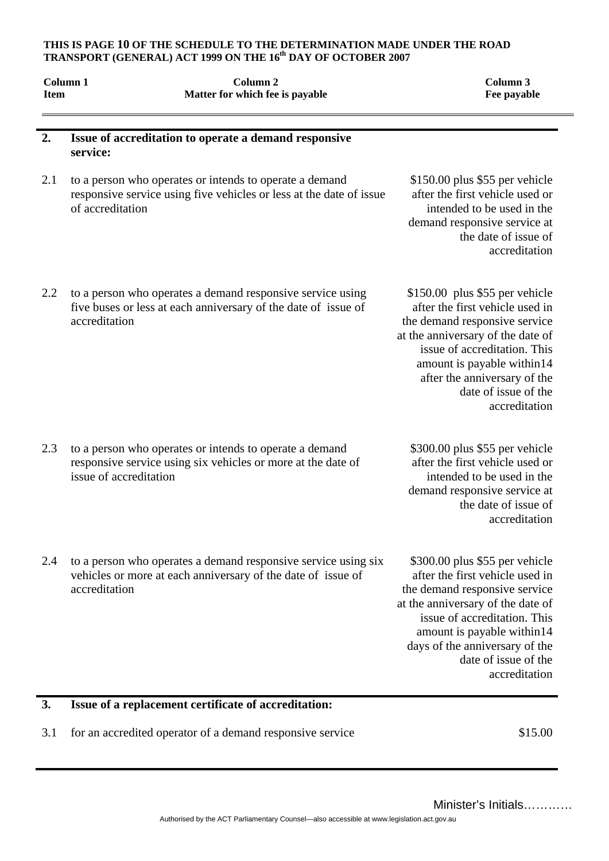#### **THIS IS PAGE 10 OF THE SCHEDULE TO THE DETERMINATION MADE UNDER THE ROAD TRANSPORT (GENERAL) ACT 1999 ON THE 16th DAY OF OCTOBER 2007**

| <b>Item</b> | Column <sub>1</sub><br>Column <sub>2</sub><br>Matter for which fee is payable                                                                      | Column 3<br>Fee payable                                                                                                                                                                                                                                                          |
|-------------|----------------------------------------------------------------------------------------------------------------------------------------------------|----------------------------------------------------------------------------------------------------------------------------------------------------------------------------------------------------------------------------------------------------------------------------------|
| 2.          | Issue of accreditation to operate a demand responsive<br>service:                                                                                  |                                                                                                                                                                                                                                                                                  |
| 2.1         | to a person who operates or intends to operate a demand<br>responsive service using five vehicles or less at the date of issue<br>of accreditation | $$150.00$ plus \$55 per vehicle<br>after the first vehicle used or<br>intended to be used in the<br>demand responsive service at<br>the date of issue of<br>accreditation                                                                                                        |
| 2.2         | to a person who operates a demand responsive service using<br>five buses or less at each anniversary of the date of issue of<br>accreditation      | $$150.00$ plus \$55 per vehicle<br>after the first vehicle used in<br>the demand responsive service<br>at the anniversary of the date of<br>issue of accreditation. This<br>amount is payable within14<br>after the anniversary of the<br>date of issue of the<br>accreditation  |
| 2.3         | to a person who operates or intends to operate a demand<br>responsive service using six vehicles or more at the date of<br>issue of accreditation  | \$300.00 plus \$55 per vehicle<br>after the first vehicle used or<br>intended to be used in the<br>demand responsive service at<br>the date of issue of<br>accreditation                                                                                                         |
| 2.4         | to a person who operates a demand responsive service using six<br>vehicles or more at each anniversary of the date of issue of<br>accreditation    | \$300.00 plus \$55 per vehicle<br>after the first vehicle used in<br>the demand responsive service<br>at the anniversary of the date of<br>issue of accreditation. This<br>amount is payable within14<br>days of the anniversary of the<br>date of issue of the<br>accreditation |
| 3.          | Issue of a replacement certificate of accreditation:                                                                                               |                                                                                                                                                                                                                                                                                  |

3.1 for an accredited operator of a demand responsive service \$15.00